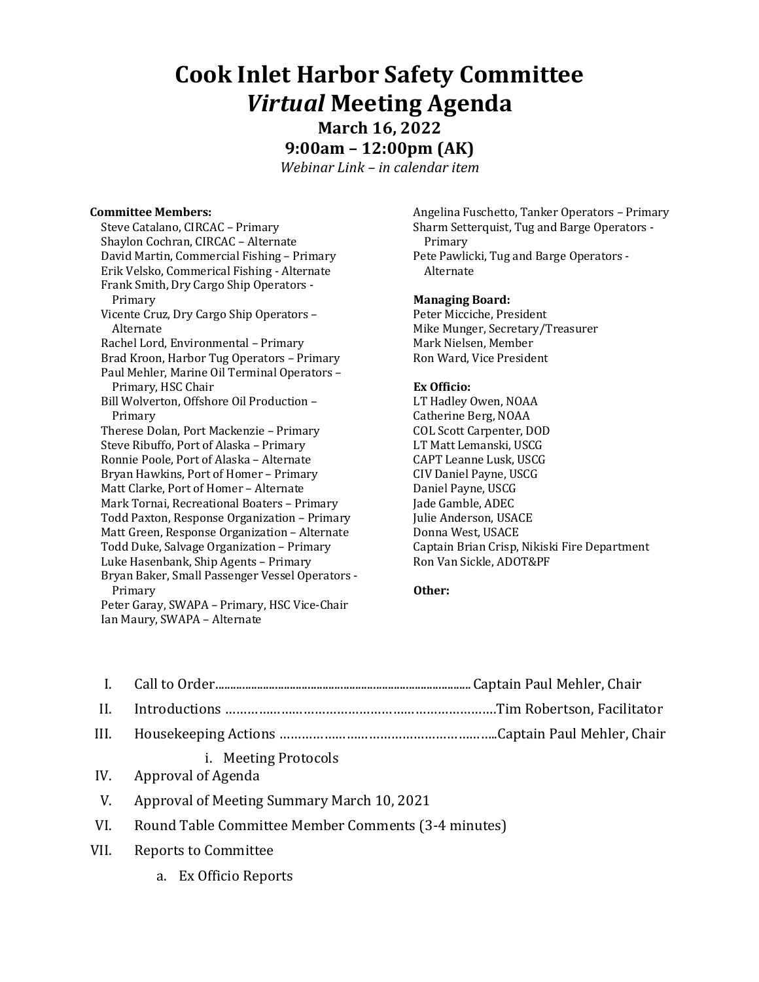# **Cook Inlet Harbor Safety Committee** *Virtual* **Meeting Agenda**

**March 16, 2022 9:00am – 12:00pm (AK)**

*Webinar Link – in calendar item*

### **Committee Members:**

Steve Catalano, CIRCAC - Primary Shaylon Cochran, CIRCAC - Alternate David Martin, Commercial Fishing - Primary Erik Velsko, Commerical Fishing - Alternate Frank Smith, Dry Cargo Ship Operators -Primary Vicente Cruz, Dry Cargo Ship Operators -Alternate Rachel Lord, Environmental - Primary Brad Kroon, Harbor Tug Operators - Primary Paul Mehler, Marine Oil Terminal Operators -Primary, HSC Chair Bill Wolverton, Offshore Oil Production -Primary Therese Dolan, Port Mackenzie - Primary Steve Ribuffo, Port of Alaska - Primary Ronnie Poole, Port of Alaska - Alternate Bryan Hawkins, Port of Homer – Primary Matt Clarke, Port of Homer - Alternate Mark Tornai, Recreational Boaters - Primary Todd Paxton, Response Organization - Primary Matt Green, Response Organization - Alternate Todd Duke, Salvage Organization – Primary Luke Hasenbank, Ship Agents - Primary Bryan Baker, Small Passenger Vessel Operators -Primary Peter Garay, SWAPA - Primary, HSC Vice-Chair

Ian Maury, SWAPA - Alternate

Angelina Fuschetto, Tanker Operators - Primary Sharm Setterquist, Tug and Barge Operators -Primary Pete Pawlicki, Tug and Barge Operators -Alternate

# **Managing Board:**

Peter Micciche, President Mike Munger, Secretary/Treasurer Mark Nielsen, Member Ron Ward, Vice President

### **Ex Officio:**

LT Hadley Owen, NOAA Catherine Berg, NOAA COL Scott Carpenter, DOD LT Matt Lemanski, USCG CAPT Leanne Lusk, USCG CIV Daniel Payne, USCG Daniel Payne, USCG Jade Gamble, ADEC **Julie Anderson, USACE** Donna West, USACE Captain Brian Crisp, Nikiski Fire Department Ron Van Sickle, ADOT&PF

# **Other:**

| $\mathbf{I}$ . |                                                         |  |
|----------------|---------------------------------------------------------|--|
| II.            |                                                         |  |
|                |                                                         |  |
|                | <i>i.</i> Meeting Protocols<br>IV. Approval of Agenda   |  |
| V.             | Approval of Meeting Summary March 10, 2021              |  |
|                | VI. Round Table Committee Member Comments (3-4 minutes) |  |
|                |                                                         |  |

- VII. Reports to Committee
	- a. Ex Officio Reports